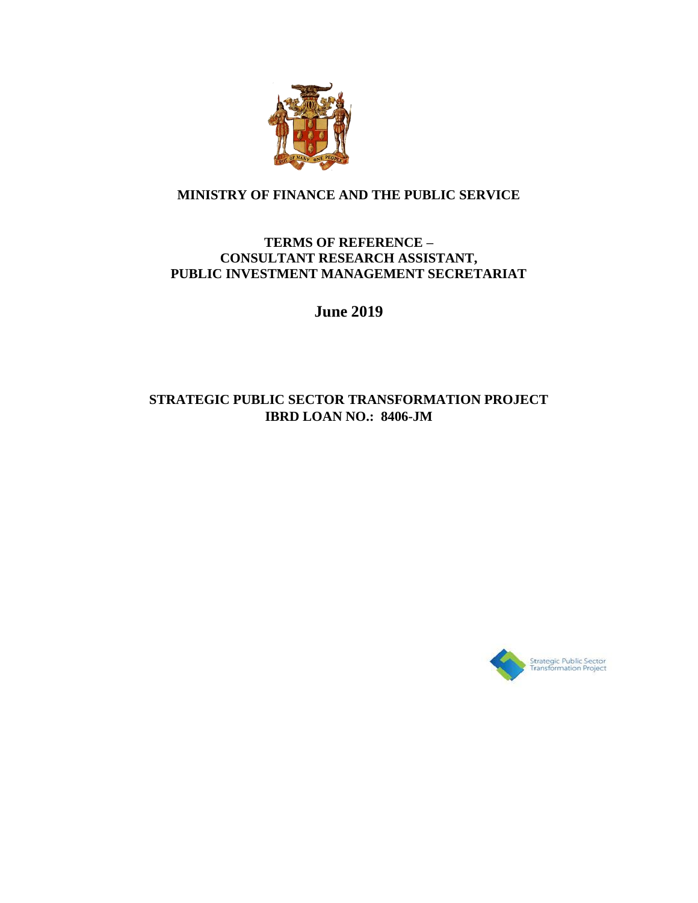

#### **MINISTRY OF FINANCE AND THE PUBLIC SERVICE**

#### **TERMS OF REFERENCE – CONSULTANT RESEARCH ASSISTANT, PUBLIC INVESTMENT MANAGEMENT SECRETARIAT**

**June 2019**

### **STRATEGIC PUBLIC SECTOR TRANSFORMATION PROJECT IBRD LOAN NO.: 8406-JM**

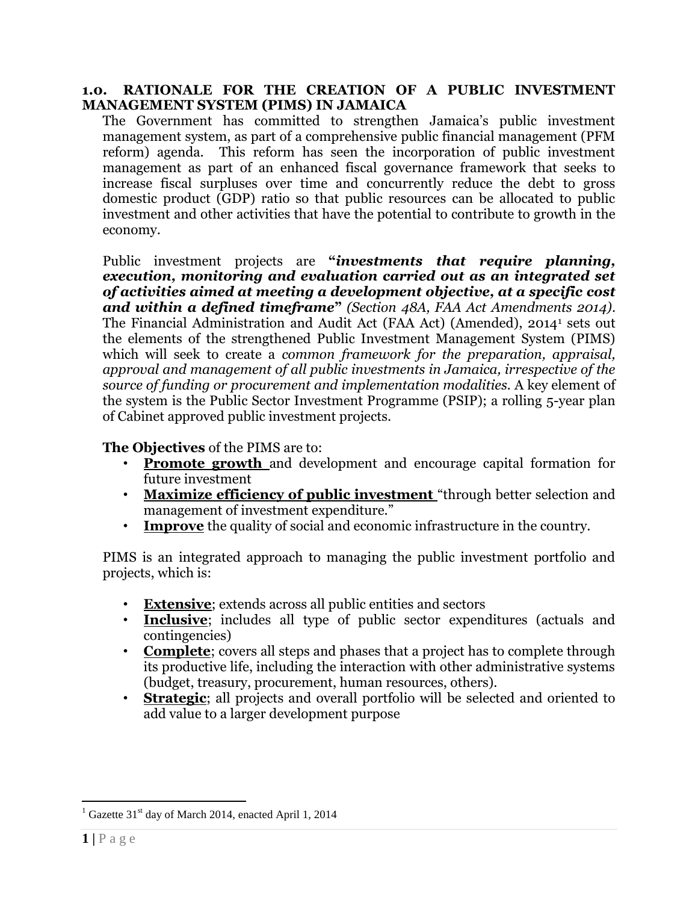#### **1.0. RATIONALE FOR THE CREATION OF A PUBLIC INVESTMENT MANAGEMENT SYSTEM (PIMS) IN JAMAICA**

The Government has committed to strengthen Jamaica's public investment management system, as part of a comprehensive public financial management (PFM reform) agenda. This reform has seen the incorporation of public investment management as part of an enhanced fiscal governance framework that seeks to increase fiscal surpluses over time and concurrently reduce the debt to gross domestic product (GDP) ratio so that public resources can be allocated to public investment and other activities that have the potential to contribute to growth in the economy.

Public investment projects are **"***investments that require planning, execution, monitoring and evaluation carried out as an integrated set of activities aimed at meeting a development objective, at a specific cost and within a defined timeframe***"** *(Section 48A, FAA Act Amendments 2014)*. The Financial Administration and Audit Act (FAA Act) (Amended), 2014<sup>1</sup> sets out the elements of the strengthened Public Investment Management System (PIMS) which will seek to create a *common framework for the preparation, appraisal, approval and management of all public investments in Jamaica, irrespective of the source of funding or procurement and implementation modalities.* A key element of the system is the Public Sector Investment Programme (PSIP); a rolling 5-year plan of Cabinet approved public investment projects.

**The Objectives** of the PIMS are to:

- **Promote growth** and development and encourage capital formation for future investment
- Maximize efficiency of public investment "through better selection and management of investment expenditure."
- **Improve** the quality of social and economic infrastructure in the country.

PIMS is an integrated approach to managing the public investment portfolio and projects, which is:

- **Extensive**; extends across all public entities and sectors
- **Inclusive**; includes all type of public sector expenditures (actuals and contingencies)
- **Complete**; covers all steps and phases that a project has to complete through its productive life, including the interaction with other administrative systems (budget, treasury, procurement, human resources, others).
- **Strategic**; all projects and overall portfolio will be selected and oriented to add value to a larger development purpose

 $\overline{a}$ 

 $1$  Gazette 31<sup>st</sup> day of March 2014, enacted April 1, 2014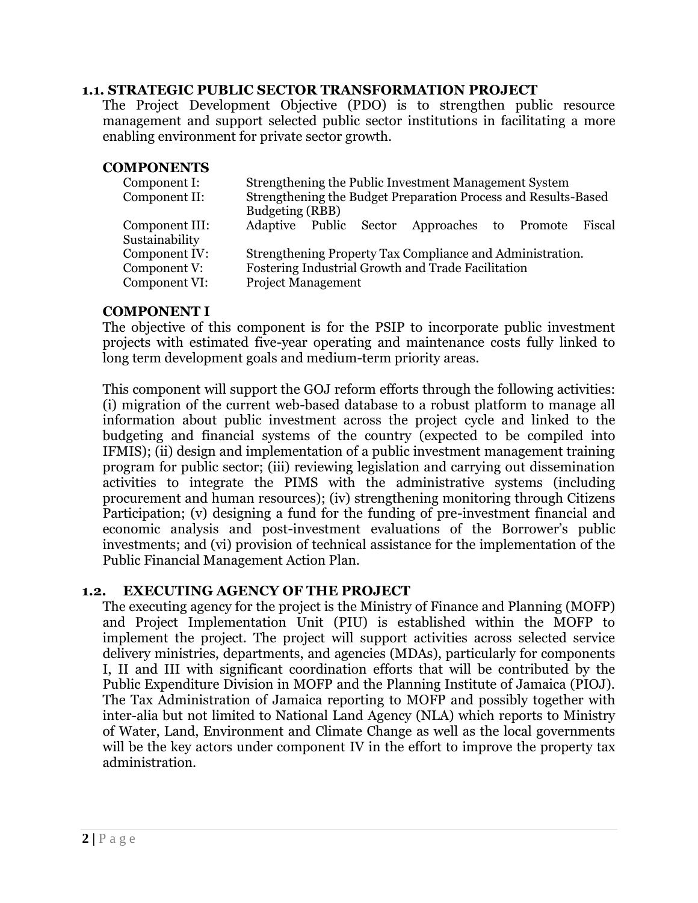#### **1.1. STRATEGIC PUBLIC SECTOR TRANSFORMATION PROJECT**

The Project Development Objective (PDO) is to strengthen public resource management and support selected public sector institutions in facilitating a more enabling environment for private sector growth.

#### **COMPONENTS**

| Component I:   | Strengthening the Public Investment Management System          |  |  |                                                     |  |  |  |
|----------------|----------------------------------------------------------------|--|--|-----------------------------------------------------|--|--|--|
| Component II:  | Strengthening the Budget Preparation Process and Results-Based |  |  |                                                     |  |  |  |
|                | Budgeting (RBB)                                                |  |  |                                                     |  |  |  |
| Component III: |                                                                |  |  | Adaptive Public Sector Approaches to Promote Fiscal |  |  |  |
| Sustainability |                                                                |  |  |                                                     |  |  |  |
| Component IV:  | Strengthening Property Tax Compliance and Administration.      |  |  |                                                     |  |  |  |
| Component V:   | Fostering Industrial Growth and Trade Facilitation             |  |  |                                                     |  |  |  |
| Component VI:  | <b>Project Management</b>                                      |  |  |                                                     |  |  |  |

#### **COMPONENT I**

The objective of this component is for the PSIP to incorporate public investment projects with estimated five-year operating and maintenance costs fully linked to long term development goals and medium-term priority areas.

This component will support the GOJ reform efforts through the following activities: (i) migration of the current web-based database to a robust platform to manage all information about public investment across the project cycle and linked to the budgeting and financial systems of the country (expected to be compiled into IFMIS); (ii) design and implementation of a public investment management training program for public sector; (iii) reviewing legislation and carrying out dissemination activities to integrate the PIMS with the administrative systems (including procurement and human resources); (iv) strengthening monitoring through Citizens Participation; (v) designing a fund for the funding of pre-investment financial and economic analysis and post-investment evaluations of the Borrower's public investments; and (vi) provision of technical assistance for the implementation of the Public Financial Management Action Plan.

#### **1.2. EXECUTING AGENCY OF THE PROJECT**

The executing agency for the project is the Ministry of Finance and Planning (MOFP) and Project Implementation Unit (PIU) is established within the MOFP to implement the project. The project will support activities across selected service delivery ministries, departments, and agencies (MDAs), particularly for components I, II and III with significant coordination efforts that will be contributed by the Public Expenditure Division in MOFP and the Planning Institute of Jamaica (PIOJ). The Tax Administration of Jamaica reporting to MOFP and possibly together with inter-alia but not limited to National Land Agency (NLA) which reports to Ministry of Water, Land, Environment and Climate Change as well as the local governments will be the key actors under component IV in the effort to improve the property tax administration.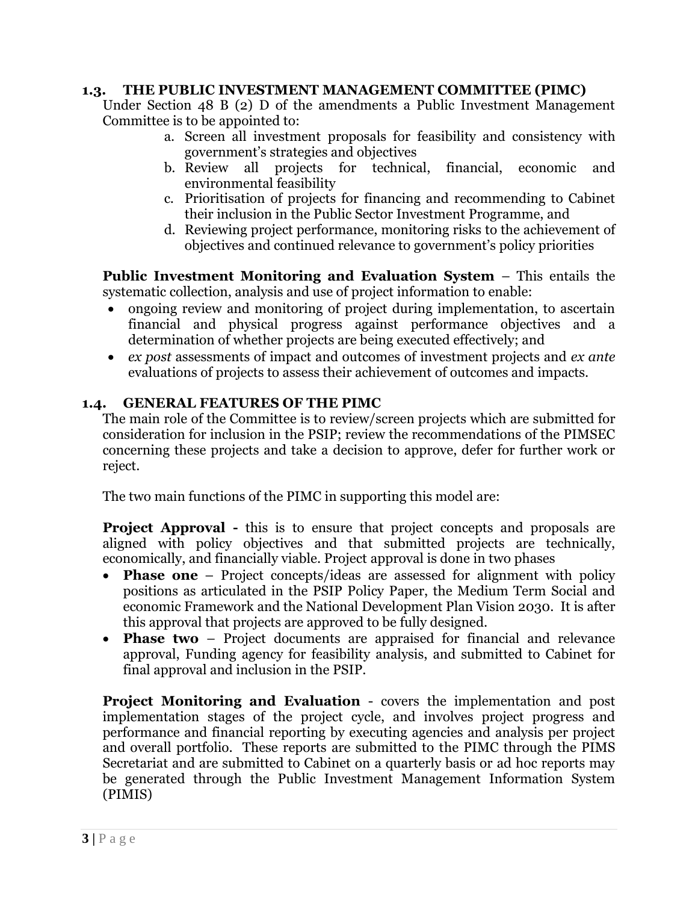#### **1.3. THE PUBLIC INVESTMENT MANAGEMENT COMMITTEE (PIMC)**

Under Section 48 B (2) D of the amendments a Public Investment Management Committee is to be appointed to:

- a. Screen all investment proposals for feasibility and consistency with government's strategies and objectives
- b. Review all projects for technical, financial, economic and environmental feasibility
- c. Prioritisation of projects for financing and recommending to Cabinet their inclusion in the Public Sector Investment Programme, and
- d. Reviewing project performance, monitoring risks to the achievement of objectives and continued relevance to government's policy priorities

**Public Investment Monitoring and Evaluation System** – This entails the systematic collection, analysis and use of project information to enable:

- ongoing review and monitoring of project during implementation, to ascertain financial and physical progress against performance objectives and a determination of whether projects are being executed effectively; and
- *ex post* assessments of impact and outcomes of investment projects and *ex ante* evaluations of projects to assess their achievement of outcomes and impacts.

#### **1.4. GENERAL FEATURES OF THE PIMC**

The main role of the Committee is to review/screen projects which are submitted for consideration for inclusion in the PSIP; review the recommendations of the PIMSEC concerning these projects and take a decision to approve, defer for further work or reject.

The two main functions of the PIMC in supporting this model are:

**Project Approval -** this is to ensure that project concepts and proposals are aligned with policy objectives and that submitted projects are technically, economically, and financially viable. Project approval is done in two phases

- **Phase one** Project concepts/ideas are assessed for alignment with policy positions as articulated in the PSIP Policy Paper, the Medium Term Social and economic Framework and the National Development Plan Vision 2030. It is after this approval that projects are approved to be fully designed.
- **Phase two** Project documents are appraised for financial and relevance approval, Funding agency for feasibility analysis, and submitted to Cabinet for final approval and inclusion in the PSIP.

**Project Monitoring and Evaluation** - covers the implementation and post implementation stages of the project cycle, and involves project progress and performance and financial reporting by executing agencies and analysis per project and overall portfolio. These reports are submitted to the PIMC through the PIMS Secretariat and are submitted to Cabinet on a quarterly basis or ad hoc reports may be generated through the Public Investment Management Information System (PIMIS)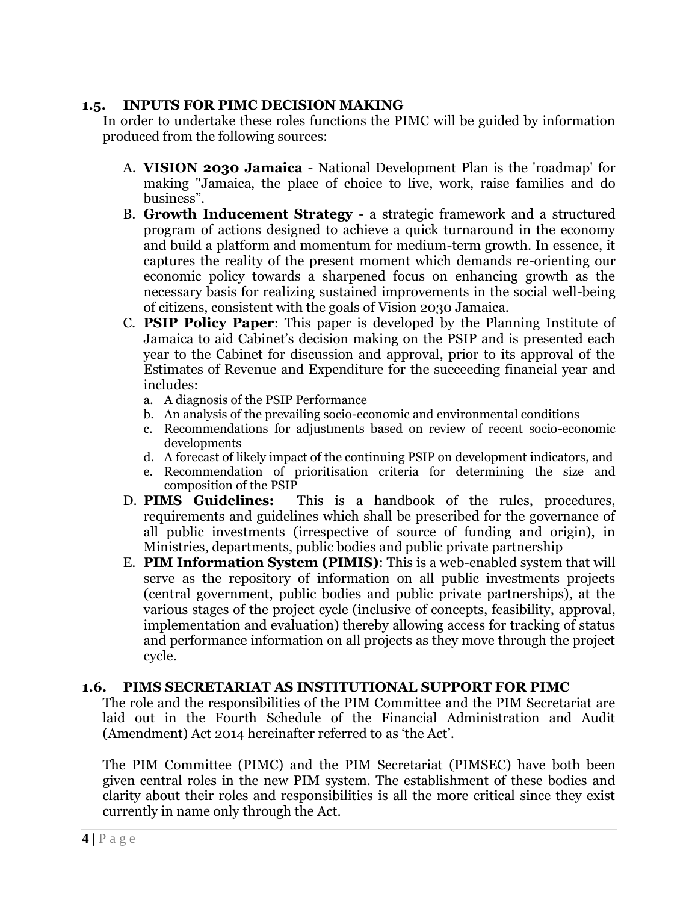#### **1.5. INPUTS FOR PIMC DECISION MAKING**

In order to undertake these roles functions the PIMC will be guided by information produced from the following sources:

- A. **VISION 2030 Jamaica** National Development Plan is the 'roadmap' for making "Jamaica, the place of choice to live, work, raise families and do business".
- B. **Growth Inducement Strategy**  a strategic framework and a structured program of actions designed to achieve a quick turnaround in the economy and build a platform and momentum for medium-term growth. In essence, it captures the reality of the present moment which demands re-orienting our economic policy towards a sharpened focus on enhancing growth as the necessary basis for realizing sustained improvements in the social well-being of citizens, consistent with the goals of Vision 2030 Jamaica.
- C. **PSIP Policy Paper**: This paper is developed by the Planning Institute of Jamaica to aid Cabinet's decision making on the PSIP and is presented each year to the Cabinet for discussion and approval, prior to its approval of the Estimates of Revenue and Expenditure for the succeeding financial year and includes:
	- a. A diagnosis of the PSIP Performance
	- b. An analysis of the prevailing socio-economic and environmental conditions
	- c. Recommendations for adjustments based on review of recent socio-economic developments
	- d. A forecast of likely impact of the continuing PSIP on development indicators, and
	- e. Recommendation of prioritisation criteria for determining the size and composition of the PSIP
- D. **PIMS Guidelines:** This is a handbook of the rules, procedures, requirements and guidelines which shall be prescribed for the governance of all public investments (irrespective of source of funding and origin), in Ministries, departments, public bodies and public private partnership
- E. **PIM Information System (PIMIS)**: This is a web-enabled system that will serve as the repository of information on all public investments projects (central government, public bodies and public private partnerships), at the various stages of the project cycle (inclusive of concepts, feasibility, approval, implementation and evaluation) thereby allowing access for tracking of status and performance information on all projects as they move through the project cycle.

#### **1.6. PIMS SECRETARIAT AS INSTITUTIONAL SUPPORT FOR PIMC**

The role and the responsibilities of the PIM Committee and the PIM Secretariat are laid out in the Fourth Schedule of the Financial Administration and Audit (Amendment) Act 2014 hereinafter referred to as 'the Act'.

The PIM Committee (PIMC) and the PIM Secretariat (PIMSEC) have both been given central roles in the new PIM system. The establishment of these bodies and clarity about their roles and responsibilities is all the more critical since they exist currently in name only through the Act.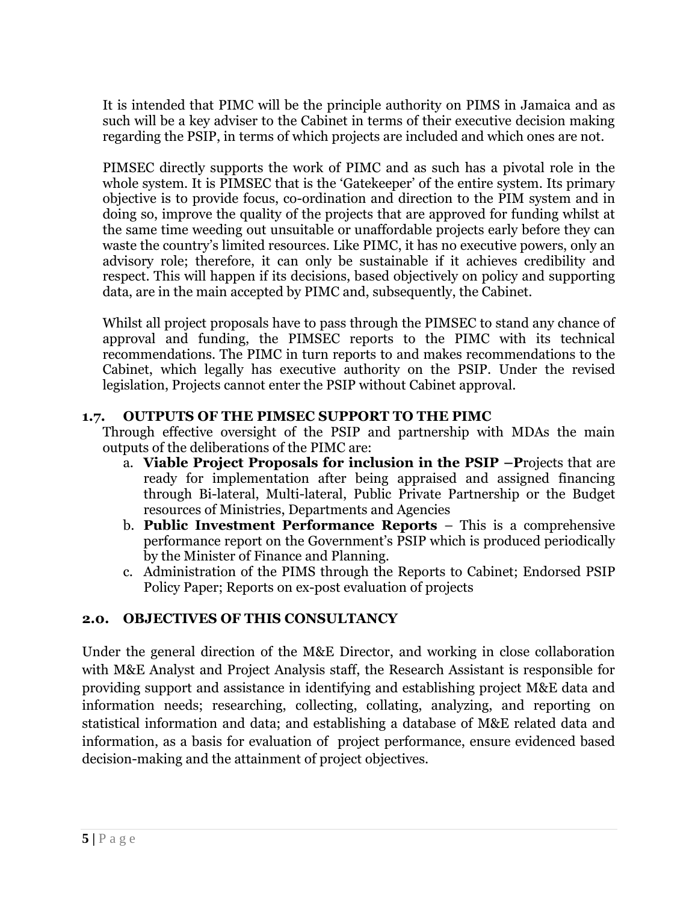It is intended that PIMC will be the principle authority on PIMS in Jamaica and as such will be a key adviser to the Cabinet in terms of their executive decision making regarding the PSIP, in terms of which projects are included and which ones are not.

PIMSEC directly supports the work of PIMC and as such has a pivotal role in the whole system. It is PIMSEC that is the 'Gatekeeper' of the entire system. Its primary objective is to provide focus, co-ordination and direction to the PIM system and in doing so, improve the quality of the projects that are approved for funding whilst at the same time weeding out unsuitable or unaffordable projects early before they can waste the country's limited resources. Like PIMC, it has no executive powers, only an advisory role; therefore, it can only be sustainable if it achieves credibility and respect. This will happen if its decisions, based objectively on policy and supporting data, are in the main accepted by PIMC and, subsequently, the Cabinet.

Whilst all project proposals have to pass through the PIMSEC to stand any chance of approval and funding, the PIMSEC reports to the PIMC with its technical recommendations. The PIMC in turn reports to and makes recommendations to the Cabinet, which legally has executive authority on the PSIP. Under the revised legislation, Projects cannot enter the PSIP without Cabinet approval.

### **1.7. OUTPUTS OF THE PIMSEC SUPPORT TO THE PIMC**

Through effective oversight of the PSIP and partnership with MDAs the main outputs of the deliberations of the PIMC are:

- a. **Viable Project Proposals for inclusion in the PSIP –P**rojects that are ready for implementation after being appraised and assigned financing through Bi-lateral, Multi-lateral, Public Private Partnership or the Budget resources of Ministries, Departments and Agencies
- b. **Public Investment Performance Reports** This is a comprehensive performance report on the Government's PSIP which is produced periodically by the Minister of Finance and Planning.
- c. Administration of the PIMS through the Reports to Cabinet; Endorsed PSIP Policy Paper; Reports on ex-post evaluation of projects

## **2.0. OBJECTIVES OF THIS CONSULTANCY**

Under the general direction of the M&E Director, and working in close collaboration with M&E Analyst and Project Analysis staff, the Research Assistant is responsible for providing support and assistance in identifying and establishing project M&E data and information needs; researching, collecting, collating, analyzing, and reporting on statistical information and data; and establishing a database of M&E related data and information, as a basis for evaluation of project performance, ensure evidenced based decision-making and the attainment of project objectives.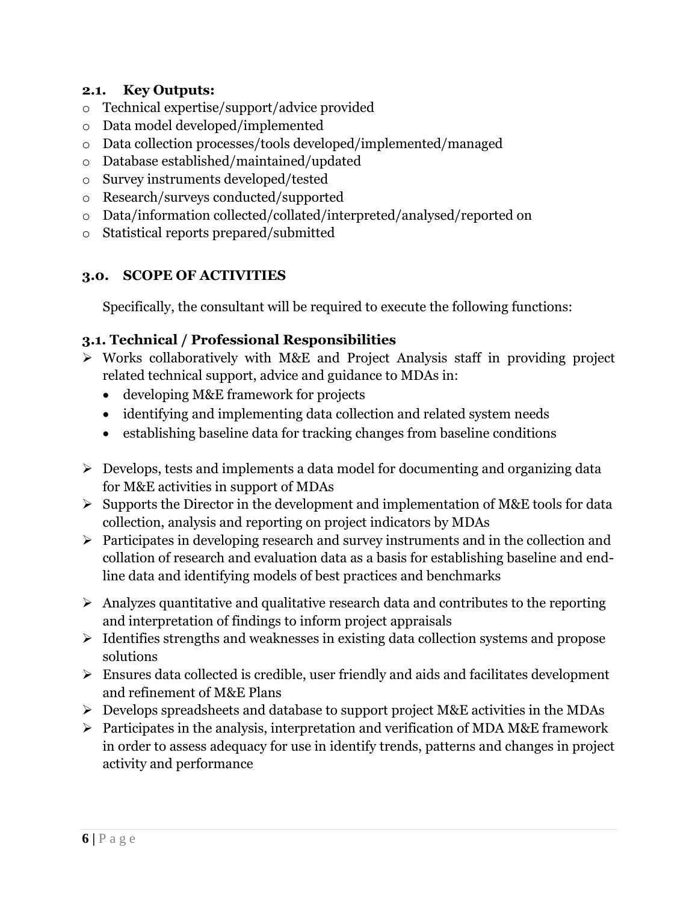### **2.1. Key Outputs:**

- o Technical expertise/support/advice provided
- o Data model developed/implemented
- o Data collection processes/tools developed/implemented/managed
- o Database established/maintained/updated
- o Survey instruments developed/tested
- o Research/surveys conducted/supported
- o Data/information collected/collated/interpreted/analysed/reported on
- o Statistical reports prepared/submitted

## **3.0. SCOPE OF ACTIVITIES**

Specifically, the consultant will be required to execute the following functions:

## **3.1. Technical / Professional Responsibilities**

- $\triangleright$  Works collaboratively with M&E and Project Analysis staff in providing project related technical support, advice and guidance to MDAs in:
	- developing M&E framework for projects
	- identifying and implementing data collection and related system needs
	- establishing baseline data for tracking changes from baseline conditions
- $\triangleright$  Develops, tests and implements a data model for documenting and organizing data for M&E activities in support of MDAs
- $\triangleright$  Supports the Director in the development and implementation of M&E tools for data collection, analysis and reporting on project indicators by MDAs
- $\triangleright$  Participates in developing research and survey instruments and in the collection and collation of research and evaluation data as a basis for establishing baseline and endline data and identifying models of best practices and benchmarks
- $\triangleright$  Analyzes quantitative and qualitative research data and contributes to the reporting and interpretation of findings to inform project appraisals
- $\triangleright$  Identifies strengths and weaknesses in existing data collection systems and propose solutions
- $\triangleright$  Ensures data collected is credible, user friendly and aids and facilitates development and refinement of M&E Plans
- $\triangleright$  Develops spreadsheets and database to support project M&E activities in the MDAs
- $\triangleright$  Participates in the analysis, interpretation and verification of MDA M&E framework in order to assess adequacy for use in identify trends, patterns and changes in project activity and performance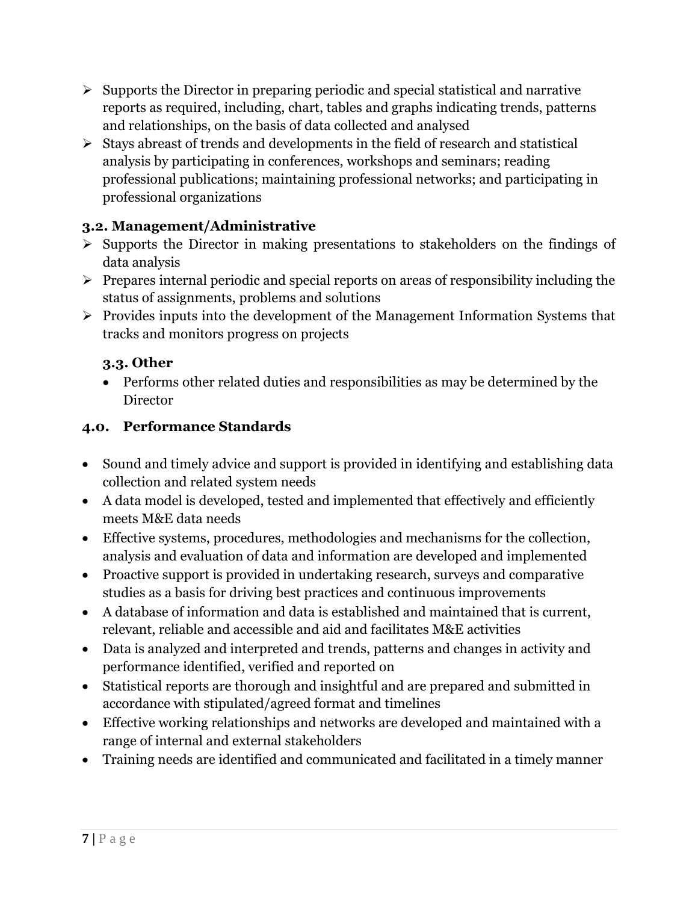- $\triangleright$  Supports the Director in preparing periodic and special statistical and narrative reports as required, including, chart, tables and graphs indicating trends, patterns and relationships, on the basis of data collected and analysed
- $\triangleright$  Stays abreast of trends and developments in the field of research and statistical analysis by participating in conferences, workshops and seminars; reading professional publications; maintaining professional networks; and participating in professional organizations

## **3.2. Management/Administrative**

- $\triangleright$  Supports the Director in making presentations to stakeholders on the findings of data analysis
- $\triangleright$  Prepares internal periodic and special reports on areas of responsibility including the status of assignments, problems and solutions
- $\triangleright$  Provides inputs into the development of the Management Information Systems that tracks and monitors progress on projects

## **3.3. Other**

 Performs other related duties and responsibilities as may be determined by the **Director** 

## **4.0. Performance Standards**

- Sound and timely advice and support is provided in identifying and establishing data collection and related system needs
- A data model is developed, tested and implemented that effectively and efficiently meets M&E data needs
- Effective systems, procedures, methodologies and mechanisms for the collection, analysis and evaluation of data and information are developed and implemented
- Proactive support is provided in undertaking research, surveys and comparative studies as a basis for driving best practices and continuous improvements
- A database of information and data is established and maintained that is current, relevant, reliable and accessible and aid and facilitates M&E activities
- Data is analyzed and interpreted and trends, patterns and changes in activity and performance identified, verified and reported on
- Statistical reports are thorough and insightful and are prepared and submitted in accordance with stipulated/agreed format and timelines
- Effective working relationships and networks are developed and maintained with a range of internal and external stakeholders
- Training needs are identified and communicated and facilitated in a timely manner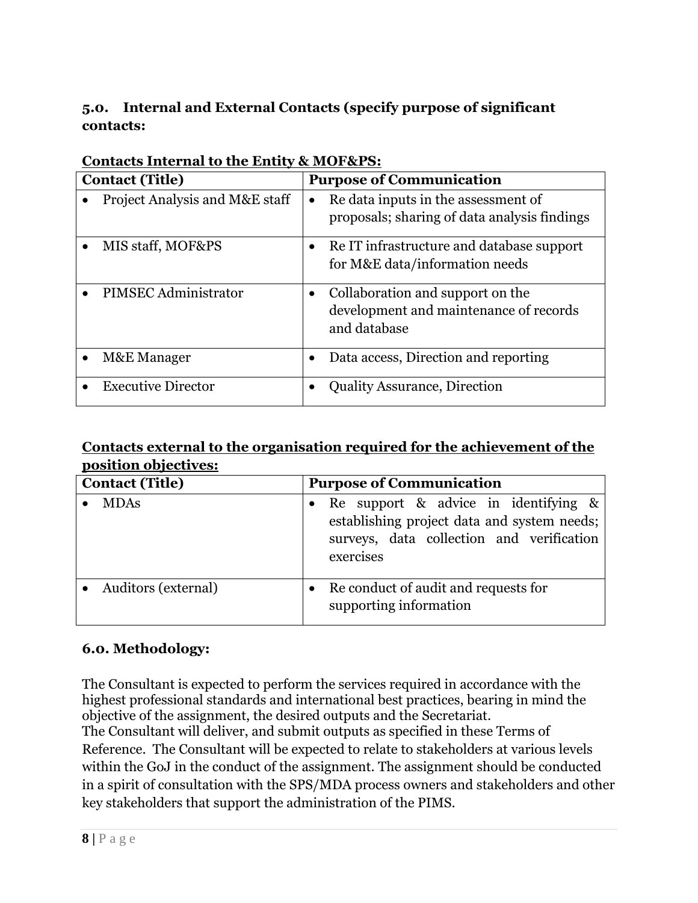## **5.0. Internal and External Contacts (specify purpose of significant contacts:**

|                        | $\alpha$ internal to the Entre, which we be |                                 |                                                                                            |  |  |  |  |
|------------------------|---------------------------------------------|---------------------------------|--------------------------------------------------------------------------------------------|--|--|--|--|
| <b>Contact (Title)</b> |                                             | <b>Purpose of Communication</b> |                                                                                            |  |  |  |  |
|                        | Project Analysis and M&E staff              | ٠                               | Re data inputs in the assessment of<br>proposals; sharing of data analysis findings        |  |  |  |  |
|                        | MIS staff, MOF&PS                           | $\bullet$                       | Re IT infrastructure and database support<br>for M&E data/information needs                |  |  |  |  |
|                        | PIMSEC Administrator                        | $\bullet$                       | Collaboration and support on the<br>development and maintenance of records<br>and database |  |  |  |  |
|                        | M&E Manager                                 |                                 | Data access, Direction and reporting                                                       |  |  |  |  |
|                        | <b>Executive Director</b>                   |                                 | <b>Quality Assurance, Direction</b>                                                        |  |  |  |  |

### **Contacts Internal to the Entity & MOF&PS:**

## **Contacts external to the organisation required for the achievement of the position objectives:**

| <b>Contact (Title)</b> | <b>Purpose of Communication</b>                                                                                                               |  |  |  |
|------------------------|-----------------------------------------------------------------------------------------------------------------------------------------------|--|--|--|
| <b>MDAs</b>            | Re support & advice in identifying &<br>establishing project data and system needs;<br>surveys, data collection and verification<br>exercises |  |  |  |
| Auditors (external)    | Re conduct of audit and requests for<br>supporting information                                                                                |  |  |  |

## **6.0. Methodology:**

The Consultant is expected to perform the services required in accordance with the highest professional standards and international best practices, bearing in mind the objective of the assignment, the desired outputs and the Secretariat. The Consultant will deliver, and submit outputs as specified in these Terms of Reference. The Consultant will be expected to relate to stakeholders at various levels within the GoJ in the conduct of the assignment. The assignment should be conducted in a spirit of consultation with the SPS/MDA process owners and stakeholders and other key stakeholders that support the administration of the PIMS.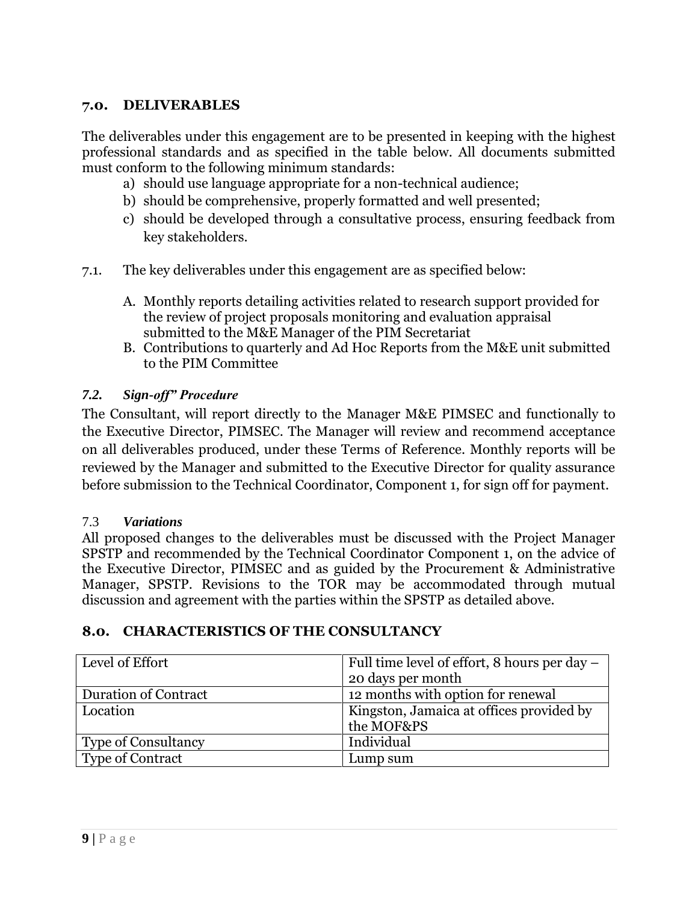#### **7.0. DELIVERABLES**

The deliverables under this engagement are to be presented in keeping with the highest professional standards and as specified in the table below. All documents submitted must conform to the following minimum standards:

- a) should use language appropriate for a non-technical audience;
- b) should be comprehensive, properly formatted and well presented;
- c) should be developed through a consultative process, ensuring feedback from key stakeholders.
- 7.1. The key deliverables under this engagement are as specified below:
	- A. Monthly reports detailing activities related to research support provided for the review of project proposals monitoring and evaluation appraisal submitted to the M&E Manager of the PIM Secretariat
	- B. Contributions to quarterly and Ad Hoc Reports from the M&E unit submitted to the PIM Committee

#### *7.2. Sign-off" Procedure*

The Consultant, will report directly to the Manager M&E PIMSEC and functionally to the Executive Director, PIMSEC. The Manager will review and recommend acceptance on all deliverables produced, under these Terms of Reference. Monthly reports will be reviewed by the Manager and submitted to the Executive Director for quality assurance before submission to the Technical Coordinator, Component 1, for sign off for payment.

#### 7.3 *Variations*

All proposed changes to the deliverables must be discussed with the Project Manager SPSTP and recommended by the Technical Coordinator Component 1, on the advice of the Executive Director, PIMSEC and as guided by the Procurement & Administrative Manager, SPSTP. Revisions to the TOR may be accommodated through mutual discussion and agreement with the parties within the SPSTP as detailed above.

| Level of Effort            | Full time level of effort, 8 hours per day - |
|----------------------------|----------------------------------------------|
|                            | 20 days per month                            |
| Duration of Contract       | 12 months with option for renewal            |
| Location                   | Kingston, Jamaica at offices provided by     |
|                            | the MOF&PS                                   |
| <b>Type of Consultancy</b> | Individual                                   |
| <b>Type of Contract</b>    | Lump sum                                     |

#### **8.0. CHARACTERISTICS OF THE CONSULTANCY**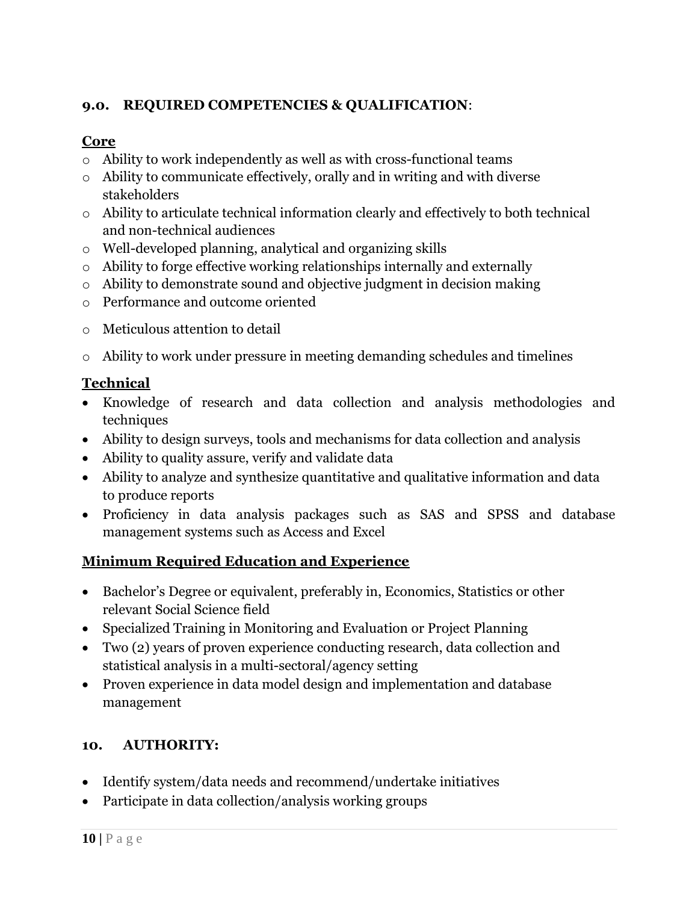## **9.0. REQUIRED COMPETENCIES & QUALIFICATION**:

# **Core**

- o Ability to work independently as well as with cross-functional teams
- o Ability to communicate effectively, orally and in writing and with diverse stakeholders
- o Ability to articulate technical information clearly and effectively to both technical and non-technical audiences
- o Well-developed planning, analytical and organizing skills
- o Ability to forge effective working relationships internally and externally
- o Ability to demonstrate sound and objective judgment in decision making
- o Performance and outcome oriented
- o Meticulous attention to detail
- o Ability to work under pressure in meeting demanding schedules and timelines

# **Technical**

- Knowledge of research and data collection and analysis methodologies and techniques
- Ability to design surveys, tools and mechanisms for data collection and analysis
- Ability to quality assure, verify and validate data
- Ability to analyze and synthesize quantitative and qualitative information and data to produce reports
- Proficiency in data analysis packages such as SAS and SPSS and database management systems such as Access and Excel

# **Minimum Required Education and Experience**

- Bachelor's Degree or equivalent, preferably in, Economics, Statistics or other relevant Social Science field
- Specialized Training in Monitoring and Evaluation or Project Planning
- Two (2) years of proven experience conducting research, data collection and statistical analysis in a multi-sectoral/agency setting
- Proven experience in data model design and implementation and database management

# **10. AUTHORITY:**

- Identify system/data needs and recommend/undertake initiatives
- Participate in data collection/analysis working groups